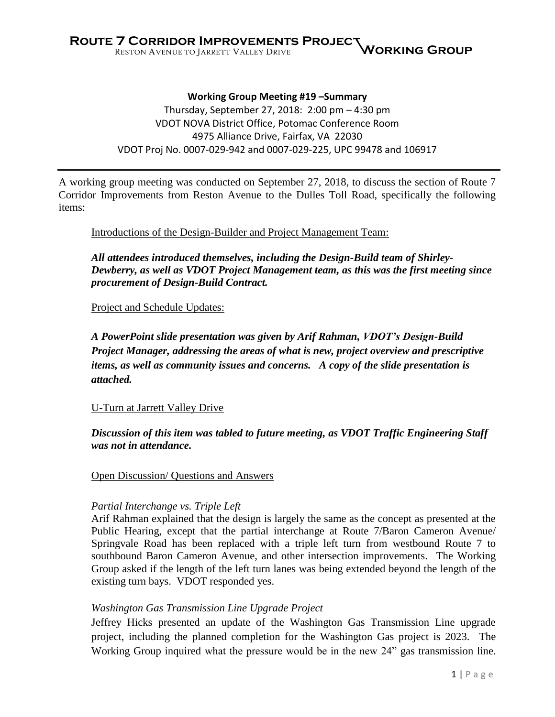**Working Group Meeting #19 –Summary** Thursday, September 27, 2018: 2:00 pm – 4:30 pm VDOT NOVA District Office, Potomac Conference Room 4975 Alliance Drive, Fairfax, VA 22030 VDOT Proj No. 0007-029-942 and 0007-029-225, UPC 99478 and 106917

A working group meeting was conducted on September 27, 2018, to discuss the section of Route 7 Corridor Improvements from Reston Avenue to the Dulles Toll Road, specifically the following items:

Introductions of the Design-Builder and Project Management Team:

*All attendees introduced themselves, including the Design-Build team of Shirley-Dewberry, as well as VDOT Project Management team, as this was the first meeting since procurement of Design-Build Contract.*

Project and Schedule Updates:

*A PowerPoint slide presentation was given by Arif Rahman, VDOT's Design-Build Project Manager, addressing the areas of what is new, project overview and prescriptive items, as well as community issues and concerns. A copy of the slide presentation is attached.*

#### U-Turn at Jarrett Valley Drive

*Discussion of this item was tabled to future meeting, as VDOT Traffic Engineering Staff was not in attendance.* 

Open Discussion/ Questions and Answers

#### *Partial Interchange vs. Triple Left*

Arif Rahman explained that the design is largely the same as the concept as presented at the Public Hearing, except that the partial interchange at Route 7/Baron Cameron Avenue/ Springvale Road has been replaced with a triple left turn from westbound Route 7 to southbound Baron Cameron Avenue, and other intersection improvements. The Working Group asked if the length of the left turn lanes was being extended beyond the length of the existing turn bays. VDOT responded yes.

#### *Washington Gas Transmission Line Upgrade Project*

Jeffrey Hicks presented an update of the Washington Gas Transmission Line upgrade project, including the planned completion for the Washington Gas project is 2023. The Working Group inquired what the pressure would be in the new 24" gas transmission line.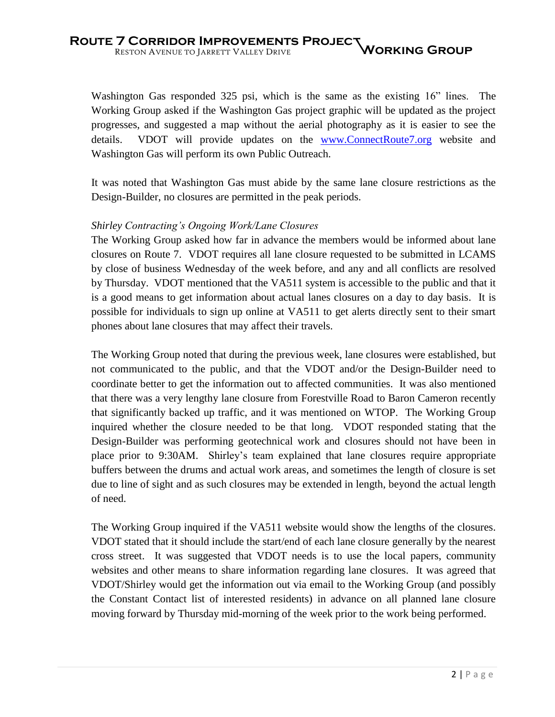Washington Gas responded 325 psi, which is the same as the existing 16" lines. The Working Group asked if the Washington Gas project graphic will be updated as the project progresses, and suggested a map without the aerial photography as it is easier to see the details. VDOT will provide updates on the [www.ConnectRoute7.org](http://www.connectroute7.org/) website and Washington Gas will perform its own Public Outreach.

It was noted that Washington Gas must abide by the same lane closure restrictions as the Design-Builder, no closures are permitted in the peak periods.

### *Shirley Contracting's Ongoing Work/Lane Closures*

The Working Group asked how far in advance the members would be informed about lane closures on Route 7. VDOT requires all lane closure requested to be submitted in LCAMS by close of business Wednesday of the week before, and any and all conflicts are resolved by Thursday. VDOT mentioned that the VA511 system is accessible to the public and that it is a good means to get information about actual lanes closures on a day to day basis. It is possible for individuals to sign up online at VA511 to get alerts directly sent to their smart phones about lane closures that may affect their travels.

The Working Group noted that during the previous week, lane closures were established, but not communicated to the public, and that the VDOT and/or the Design-Builder need to coordinate better to get the information out to affected communities. It was also mentioned that there was a very lengthy lane closure from Forestville Road to Baron Cameron recently that significantly backed up traffic, and it was mentioned on WTOP. The Working Group inquired whether the closure needed to be that long. VDOT responded stating that the Design-Builder was performing geotechnical work and closures should not have been in place prior to 9:30AM. Shirley's team explained that lane closures require appropriate buffers between the drums and actual work areas, and sometimes the length of closure is set due to line of sight and as such closures may be extended in length, beyond the actual length of need.

The Working Group inquired if the VA511 website would show the lengths of the closures. VDOT stated that it should include the start/end of each lane closure generally by the nearest cross street. It was suggested that VDOT needs is to use the local papers, community websites and other means to share information regarding lane closures. It was agreed that VDOT/Shirley would get the information out via email to the Working Group (and possibly the Constant Contact list of interested residents) in advance on all planned lane closure moving forward by Thursday mid-morning of the week prior to the work being performed.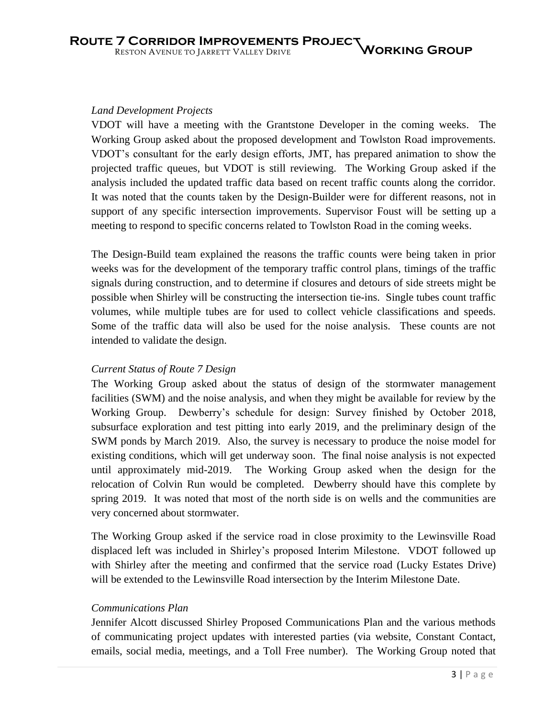#### *Land Development Projects*

VDOT will have a meeting with the Grantstone Developer in the coming weeks. The Working Group asked about the proposed development and Towlston Road improvements. VDOT's consultant for the early design efforts, JMT, has prepared animation to show the projected traffic queues, but VDOT is still reviewing. The Working Group asked if the analysis included the updated traffic data based on recent traffic counts along the corridor. It was noted that the counts taken by the Design-Builder were for different reasons, not in support of any specific intersection improvements. Supervisor Foust will be setting up a meeting to respond to specific concerns related to Towlston Road in the coming weeks.

The Design-Build team explained the reasons the traffic counts were being taken in prior weeks was for the development of the temporary traffic control plans, timings of the traffic signals during construction, and to determine if closures and detours of side streets might be possible when Shirley will be constructing the intersection tie-ins. Single tubes count traffic volumes, while multiple tubes are for used to collect vehicle classifications and speeds. Some of the traffic data will also be used for the noise analysis. These counts are not intended to validate the design.

### *Current Status of Route 7 Design*

The Working Group asked about the status of design of the stormwater management facilities (SWM) and the noise analysis, and when they might be available for review by the Working Group. Dewberry's schedule for design: Survey finished by October 2018, subsurface exploration and test pitting into early 2019, and the preliminary design of the SWM ponds by March 2019. Also, the survey is necessary to produce the noise model for existing conditions, which will get underway soon. The final noise analysis is not expected until approximately mid-2019. The Working Group asked when the design for the relocation of Colvin Run would be completed. Dewberry should have this complete by spring 2019. It was noted that most of the north side is on wells and the communities are very concerned about stormwater.

The Working Group asked if the service road in close proximity to the Lewinsville Road displaced left was included in Shirley's proposed Interim Milestone. VDOT followed up with Shirley after the meeting and confirmed that the service road (Lucky Estates Drive) will be extended to the Lewinsville Road intersection by the Interim Milestone Date.

### *Communications Plan*

Jennifer Alcott discussed Shirley Proposed Communications Plan and the various methods of communicating project updates with interested parties (via website, Constant Contact, emails, social media, meetings, and a Toll Free number). The Working Group noted that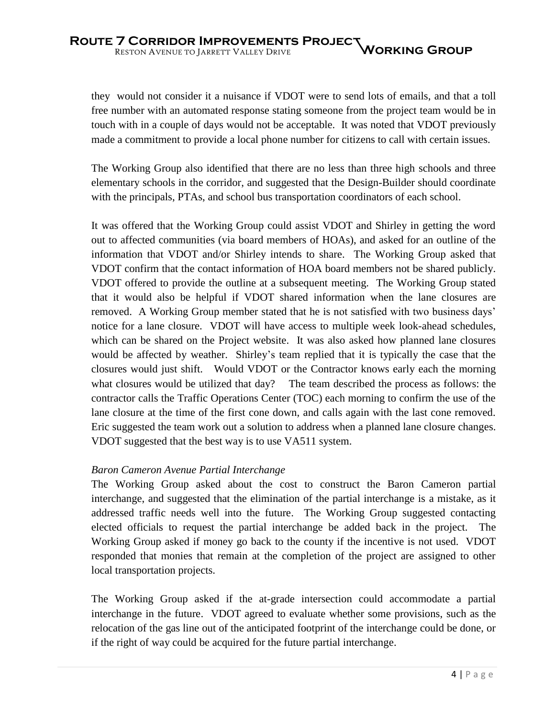they would not consider it a nuisance if VDOT were to send lots of emails, and that a toll free number with an automated response stating someone from the project team would be in touch with in a couple of days would not be acceptable. It was noted that VDOT previously made a commitment to provide a local phone number for citizens to call with certain issues.

The Working Group also identified that there are no less than three high schools and three elementary schools in the corridor, and suggested that the Design-Builder should coordinate with the principals, PTAs, and school bus transportation coordinators of each school.

It was offered that the Working Group could assist VDOT and Shirley in getting the word out to affected communities (via board members of HOAs), and asked for an outline of the information that VDOT and/or Shirley intends to share. The Working Group asked that VDOT confirm that the contact information of HOA board members not be shared publicly. VDOT offered to provide the outline at a subsequent meeting. The Working Group stated that it would also be helpful if VDOT shared information when the lane closures are removed. A Working Group member stated that he is not satisfied with two business days' notice for a lane closure. VDOT will have access to multiple week look-ahead schedules, which can be shared on the Project website. It was also asked how planned lane closures would be affected by weather. Shirley's team replied that it is typically the case that the closures would just shift. Would VDOT or the Contractor knows early each the morning what closures would be utilized that day? The team described the process as follows: the contractor calls the Traffic Operations Center (TOC) each morning to confirm the use of the lane closure at the time of the first cone down, and calls again with the last cone removed. Eric suggested the team work out a solution to address when a planned lane closure changes. VDOT suggested that the best way is to use VA511 system.

### *Baron Cameron Avenue Partial Interchange*

The Working Group asked about the cost to construct the Baron Cameron partial interchange, and suggested that the elimination of the partial interchange is a mistake, as it addressed traffic needs well into the future. The Working Group suggested contacting elected officials to request the partial interchange be added back in the project. The Working Group asked if money go back to the county if the incentive is not used. VDOT responded that monies that remain at the completion of the project are assigned to other local transportation projects.

The Working Group asked if the at-grade intersection could accommodate a partial interchange in the future. VDOT agreed to evaluate whether some provisions, such as the relocation of the gas line out of the anticipated footprint of the interchange could be done, or if the right of way could be acquired for the future partial interchange.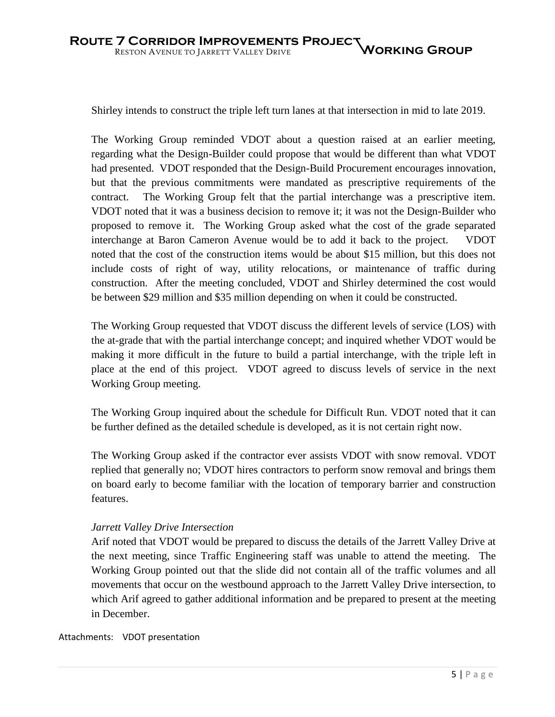Shirley intends to construct the triple left turn lanes at that intersection in mid to late 2019.

The Working Group reminded VDOT about a question raised at an earlier meeting, regarding what the Design-Builder could propose that would be different than what VDOT had presented. VDOT responded that the Design-Build Procurement encourages innovation, but that the previous commitments were mandated as prescriptive requirements of the contract. The Working Group felt that the partial interchange was a prescriptive item. VDOT noted that it was a business decision to remove it; it was not the Design-Builder who proposed to remove it. The Working Group asked what the cost of the grade separated interchange at Baron Cameron Avenue would be to add it back to the project. VDOT noted that the cost of the construction items would be about \$15 million, but this does not include costs of right of way, utility relocations, or maintenance of traffic during construction. After the meeting concluded, VDOT and Shirley determined the cost would be between \$29 million and \$35 million depending on when it could be constructed.

The Working Group requested that VDOT discuss the different levels of service (LOS) with the at-grade that with the partial interchange concept; and inquired whether VDOT would be making it more difficult in the future to build a partial interchange, with the triple left in place at the end of this project. VDOT agreed to discuss levels of service in the next Working Group meeting.

The Working Group inquired about the schedule for Difficult Run. VDOT noted that it can be further defined as the detailed schedule is developed, as it is not certain right now.

The Working Group asked if the contractor ever assists VDOT with snow removal. VDOT replied that generally no; VDOT hires contractors to perform snow removal and brings them on board early to become familiar with the location of temporary barrier and construction features.

### *Jarrett Valley Drive Intersection*

Arif noted that VDOT would be prepared to discuss the details of the Jarrett Valley Drive at the next meeting, since Traffic Engineering staff was unable to attend the meeting. The Working Group pointed out that the slide did not contain all of the traffic volumes and all movements that occur on the westbound approach to the Jarrett Valley Drive intersection, to which Arif agreed to gather additional information and be prepared to present at the meeting in December.

Attachments: VDOT presentation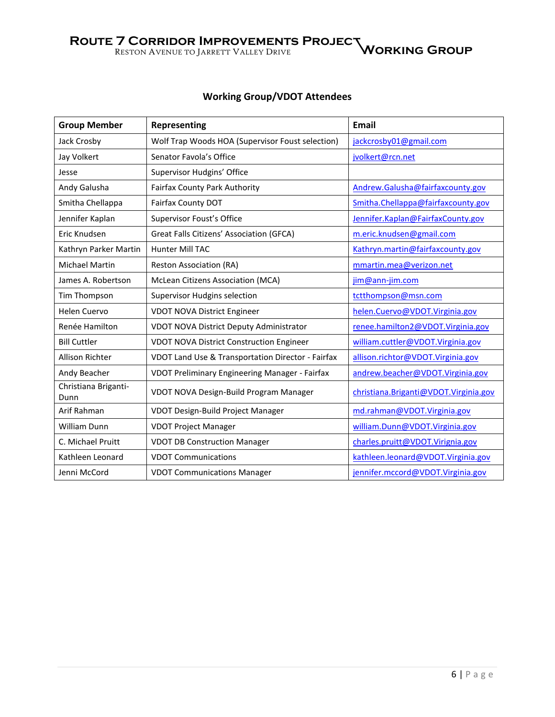# **Working Group/VDOT Attendees**

| <b>Group Member</b>          | <b>Representing</b>                               | Email                                 |  |
|------------------------------|---------------------------------------------------|---------------------------------------|--|
| Jack Crosby                  | Wolf Trap Woods HOA (Supervisor Foust selection)  | jackcrosby01@gmail.com                |  |
| Jay Volkert                  | Senator Favola's Office                           | jvolkert@rcn.net                      |  |
| Jesse                        | Supervisor Hudgins' Office                        |                                       |  |
| Andy Galusha                 | <b>Fairfax County Park Authority</b>              | Andrew.Galusha@fairfaxcounty.gov      |  |
| Smitha Chellappa             | Fairfax County DOT                                | Smitha.Chellappa@fairfaxcounty.gov    |  |
| Jennifer Kaplan              | Supervisor Foust's Office                         | Jennifer.Kaplan@FairfaxCounty.gov     |  |
| Eric Knudsen                 | Great Falls Citizens' Association (GFCA)          | m.eric.knudsen@gmail.com              |  |
| Kathryn Parker Martin        | Hunter Mill TAC                                   | Kathryn.martin@fairfaxcounty.gov      |  |
| <b>Michael Martin</b>        | <b>Reston Association (RA)</b>                    | mmartin.mea@verizon.net               |  |
| James A. Robertson           | McLean Citizens Association (MCA)                 | jim@ann-jim.com                       |  |
| Tim Thompson                 | Supervisor Hudgins selection                      | tctthompson@msn.com                   |  |
| Helen Cuervo                 | <b>VDOT NOVA District Engineer</b>                | helen.Cuervo@VDOT.Virginia.gov        |  |
| Renée Hamilton               | VDOT NOVA District Deputy Administrator           | renee.hamilton2@VDOT.Virginia.gov     |  |
| <b>Bill Cuttler</b>          | <b>VDOT NOVA District Construction Engineer</b>   | william.cuttler@VDOT.Virginia.gov     |  |
| Allison Richter              | VDOT Land Use & Transportation Director - Fairfax | allison.richtor@VDOT.Virginia.gov     |  |
| Andy Beacher                 | VDOT Preliminary Engineering Manager - Fairfax    | andrew.beacher@VDOT.Virginia.gov      |  |
| Christiana Briganti-<br>Dunn | VDOT NOVA Design-Build Program Manager            | christiana.Briganti@VDOT.Virginia.gov |  |
| Arif Rahman                  | VDOT Design-Build Project Manager                 | md.rahman@VDOT.Virginia.gov           |  |
| <b>William Dunn</b>          | <b>VDOT Project Manager</b>                       | william.Dunn@VDOT.Virginia.gov        |  |
| C. Michael Pruitt            | <b>VDOT DB Construction Manager</b>               | charles.pruitt@VDOT.Virignia.gov      |  |
| Kathleen Leonard             | <b>VDOT Communications</b>                        | kathleen.leonard@VDOT.Virginia.gov    |  |
| Jenni McCord                 | <b>VDOT Communications Manager</b>                | jennifer.mccord@VDOT.Virginia.gov     |  |